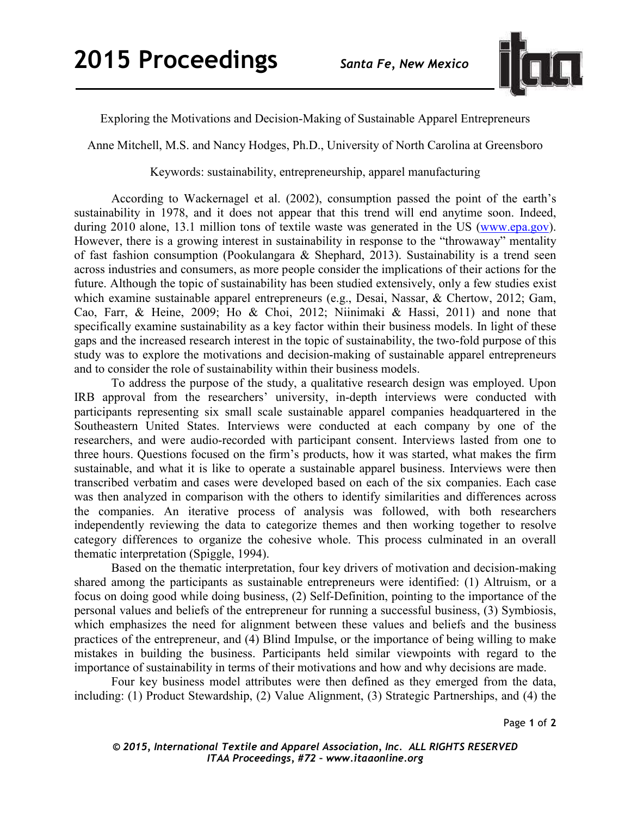

Exploring the Motivations and Decision-Making of Sustainable Apparel Entrepreneurs

Anne Mitchell, M.S. and Nancy Hodges, Ph.D., University of North Carolina at Greensboro

Keywords: sustainability, entrepreneurship, apparel manufacturing

According to Wackernagel et al. (2002), consumption passed the point of the earth's sustainability in 1978, and it does not appear that this trend will end anytime soon. Indeed, during 2010 alone, 13.1 million tons of textile waste was generated in the US (www.epa.gov). However, there is a growing interest in sustainability in response to the "throwaway" mentality of fast fashion consumption (Pookulangara & Shephard, 2013). Sustainability is a trend seen across industries and consumers, as more people consider the implications of their actions for the future. Although the topic of sustainability has been studied extensively, only a few studies exist which examine sustainable apparel entrepreneurs (e.g., Desai, Nassar, & Chertow, 2012; Gam, Cao, Farr, & Heine, 2009; Ho & Choi, 2012; Niinimaki & Hassi, 2011) and none that specifically examine sustainability as a key factor within their business models. In light of these gaps and the increased research interest in the topic of sustainability, the two-fold purpose of this study was to explore the motivations and decision-making of sustainable apparel entrepreneurs and to consider the role of sustainability within their business models.

To address the purpose of the study, a qualitative research design was employed. Upon IRB approval from the researchers' university, in-depth interviews were conducted with participants representing six small scale sustainable apparel companies headquartered in the Southeastern United States. Interviews were conducted at each company by one of the researchers, and were audio-recorded with participant consent. Interviews lasted from one to three hours. Questions focused on the firm's products, how it was started, what makes the firm sustainable, and what it is like to operate a sustainable apparel business. Interviews were then transcribed verbatim and cases were developed based on each of the six companies. Each case was then analyzed in comparison with the others to identify similarities and differences across the companies. An iterative process of analysis was followed, with both researchers independently reviewing the data to categorize themes and then working together to resolve category differences to organize the cohesive whole. This process culminated in an overall thematic interpretation (Spiggle, 1994).

Based on the thematic interpretation, four key drivers of motivation and decision-making shared among the participants as sustainable entrepreneurs were identified: (1) Altruism, or a focus on doing good while doing business, (2) Self-Definition, pointing to the importance of the personal values and beliefs of the entrepreneur for running a successful business, (3) Symbiosis, which emphasizes the need for alignment between these values and beliefs and the business practices of the entrepreneur, and (4) Blind Impulse, or the importance of being willing to make mistakes in building the business. Participants held similar viewpoints with regard to the importance of sustainability in terms of their motivations and how and why decisions are made.

Four key business model attributes were then defined as they emerged from the data, including: (1) Product Stewardship, (2) Value Alignment, (3) Strategic Partnerships, and (4) the

Page **1** of **2** 

*© 2015, International Textile and Apparel Association, Inc. ALL RIGHTS RESERVED ITAA Proceedings, #72 – www.itaaonline.org*